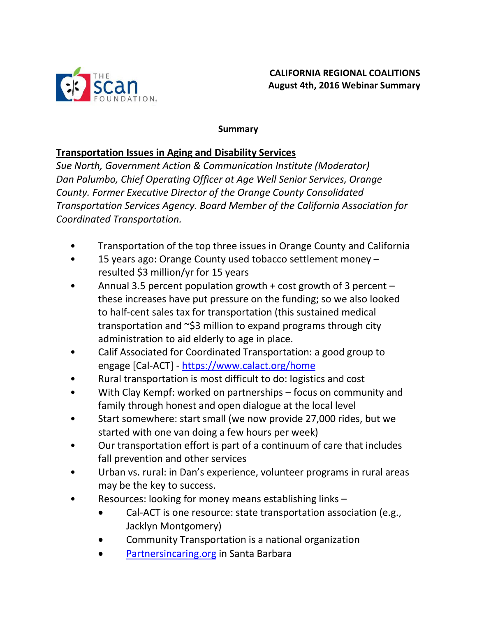

#### **Summary**

#### **Transportation Issues in Aging and Disability Services**

*Sue North, Government Action & Communication Institute (Moderator) Dan Palumbo, Chief Operating Officer at Age Well Senior Services, Orange County. Former Executive Director of the Orange County Consolidated Transportation Services Agency. Board Member of the California Association for Coordinated Transportation.*

- Transportation of the top three issues in Orange County and California
- 15 years ago: Orange County used tobacco settlement money resulted \$3 million/yr for 15 years
- Annual 3.5 percent population growth + cost growth of 3 percent these increases have put pressure on the funding; so we also looked to half-cent sales tax for transportation (this sustained medical transportation and ~\$3 million to expand programs through city administration to aid elderly to age in place.
- Calif Associated for Coordinated Transportation: a good group to engage [Cal-ACT] - <https://www.calact.org/home>
- Rural transportation is most difficult to do: logistics and cost
- With Clay Kempf: worked on partnerships focus on community and family through honest and open dialogue at the local level
- Start somewhere: start small (we now provide 27,000 rides, but we started with one van doing a few hours per week)
- Our transportation effort is part of a continuum of care that includes fall prevention and other services
- Urban vs. rural: in Dan's experience, volunteer programs in rural areas may be the key to success.
- Resources: looking for money means establishing links
	- Cal-ACT is one resource: state transportation association (e.g., Jacklyn Montgomery)
	- Community Transportation is a national organization
	- [Partnersincaring.org](http://www.partnersincaring.org/) in Santa Barbara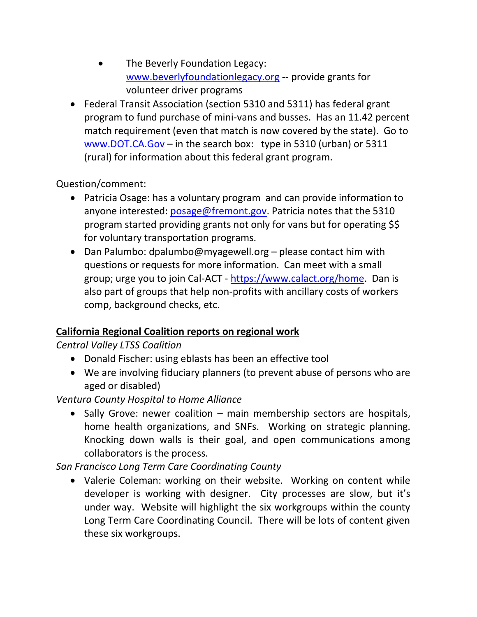- The Beverly Foundation Legacy: [www.beverlyfoundationlegacy.org](http://www.beverlyfoundationlegacy.org/) -- provide grants for volunteer driver programs
- Federal Transit Association (section 5310 and 5311) has federal grant program to fund purchase of mini-vans and busses. Has an 11.42 percent match requirement (even that match is now covered by the state). Go to [www.DOT.CA.Gov](http://www.dot.ca.gov/) – in the search box: type in 5310 (urban) or 5311 (rural) for information about this federal grant program.

### Question/comment:

- Patricia Osage: has a voluntary program and can provide information to anyone interested: [posage@fremont.gov.](mailto:posage@fremont.gov) Patricia notes that the 5310 program started providing grants not only for vans but for operating \$\$ for voluntary transportation programs.
- Dan Palumbo: dpalumbo@myagewell.org please contact him with questions or requests for more information. Can meet with a small group; urge you to join Cal-ACT - [https://www.calact.org/home.](https://www.calact.org/home) Dan is also part of groups that help non-profits with ancillary costs of workers comp, background checks, etc.

#### **California Regional Coalition reports on regional work**

# *Central Valley LTSS Coalition*

- Donald Fischer: using eblasts has been an effective tool
- We are involving fiduciary planners (to prevent abuse of persons who are aged or disabled)

#### *Ventura County Hospital to Home Alliance*

• Sally Grove: newer coalition – main membership sectors are hospitals, home health organizations, and SNFs. Working on strategic planning. Knocking down walls is their goal, and open communications among collaborators is the process.

# *San Francisco Long Term Care Coordinating County*

 Valerie Coleman: working on their website. Working on content while developer is working with designer. City processes are slow, but it's under way. Website will highlight the six workgroups within the county Long Term Care Coordinating Council. There will be lots of content given these six workgroups.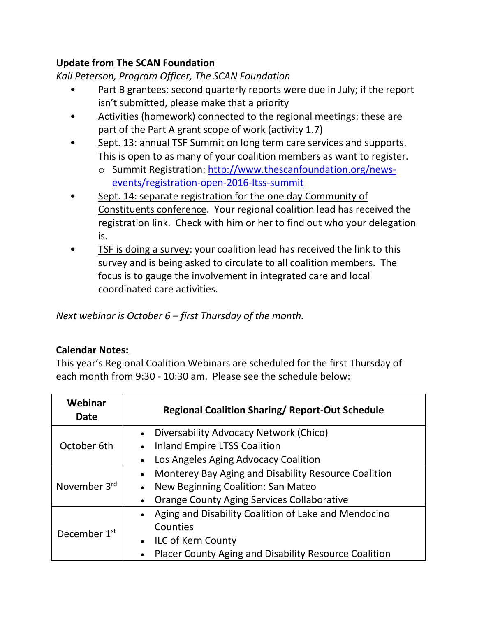# **Update from The SCAN Foundation**

*Kali Peterson, Program Officer, The SCAN Foundation*

- Part B grantees: second quarterly reports were due in July; if the report isn't submitted, please make that a priority
- Activities (homework) connected to the regional meetings: these are part of the Part A grant scope of work (activity 1.7)
- Sept. 13: annual TSF Summit on long term care services and supports. This is open to as many of your coalition members as want to register.
	- o Summit Registration: [http://www.thescanfoundation.org/news](http://www.thescanfoundation.org/news-events/registration-open-2016-ltss-summit)[events/registration-open-2016-ltss-summit](http://www.thescanfoundation.org/news-events/registration-open-2016-ltss-summit)
- Sept. 14: separate registration for the one day Community of Constituents conference. Your regional coalition lead has received the registration link. Check with him or her to find out who your delegation is.
- TSF is doing a survey: your coalition lead has received the link to this survey and is being asked to circulate to all coalition members. The focus is to gauge the involvement in integrated care and local coordinated care activities.

*Next webinar is October 6 – first Thursday of the month.*

#### **Calendar Notes:**

This year's Regional Coalition Webinars are scheduled for the first Thursday of each month from 9:30 - 10:30 am. Please see the schedule below:

| Webinar<br><b>Date</b>   | <b>Regional Coalition Sharing/ Report-Out Schedule</b>            |
|--------------------------|-------------------------------------------------------------------|
| October 6th              | Diversability Advocacy Network (Chico)                            |
|                          | <b>Inland Empire LTSS Coalition</b>                               |
|                          | Los Angeles Aging Advocacy Coalition                              |
| November 3rd             | Monterey Bay Aging and Disability Resource Coalition              |
|                          | New Beginning Coalition: San Mateo<br>$\bullet$                   |
|                          | <b>Orange County Aging Services Collaborative</b>                 |
| December 1 <sup>st</sup> | Aging and Disability Coalition of Lake and Mendocino<br>$\bullet$ |
|                          | Counties                                                          |
|                          | <b>ILC of Kern County</b>                                         |
|                          | Placer County Aging and Disability Resource Coalition             |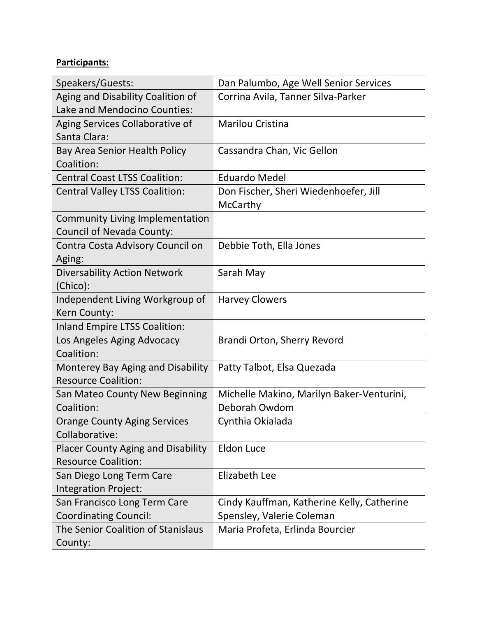### **Participants:**

| Speakers/Guests:                          | Dan Palumbo, Age Well Senior Services      |
|-------------------------------------------|--------------------------------------------|
| Aging and Disability Coalition of         | Corrina Avila, Tanner Silva-Parker         |
| Lake and Mendocino Counties:              |                                            |
| Aging Services Collaborative of           | <b>Marilou Cristina</b>                    |
| Santa Clara:                              |                                            |
| Bay Area Senior Health Policy             | Cassandra Chan, Vic Gellon                 |
| Coalition:                                |                                            |
| <b>Central Coast LTSS Coalition:</b>      | <b>Eduardo Medel</b>                       |
| <b>Central Valley LTSS Coalition:</b>     | Don Fischer, Sheri Wiedenhoefer, Jill      |
|                                           | McCarthy                                   |
| <b>Community Living Implementation</b>    |                                            |
| Council of Nevada County:                 |                                            |
| Contra Costa Advisory Council on          | Debbie Toth, Ella Jones                    |
| Aging:                                    |                                            |
| <b>Diversability Action Network</b>       | Sarah May                                  |
| (Chico):                                  |                                            |
| Independent Living Workgroup of           | <b>Harvey Clowers</b>                      |
| Kern County:                              |                                            |
| Inland Empire LTSS Coalition:             |                                            |
| Los Angeles Aging Advocacy                | Brandi Orton, Sherry Revord                |
| Coalition:                                |                                            |
| Monterey Bay Aging and Disability         | Patty Talbot, Elsa Quezada                 |
| <b>Resource Coalition:</b>                |                                            |
| San Mateo County New Beginning            | Michelle Makino, Marilyn Baker-Venturini,  |
| Coalition:                                | Deborah Owdom                              |
| <b>Orange County Aging Services</b>       | Cynthia Okialada                           |
| Collaborative:                            |                                            |
| <b>Placer County Aging and Disability</b> | <b>Eldon Luce</b>                          |
| <b>Resource Coalition:</b>                |                                            |
| San Diego Long Term Care                  | Elizabeth Lee                              |
| Integration Project:                      |                                            |
| San Francisco Long Term Care              | Cindy Kauffman, Katherine Kelly, Catherine |
| <b>Coordinating Council:</b>              | Spensley, Valerie Coleman                  |
| The Senior Coalition of Stanislaus        | Maria Profeta, Erlinda Bourcier            |
| County:                                   |                                            |